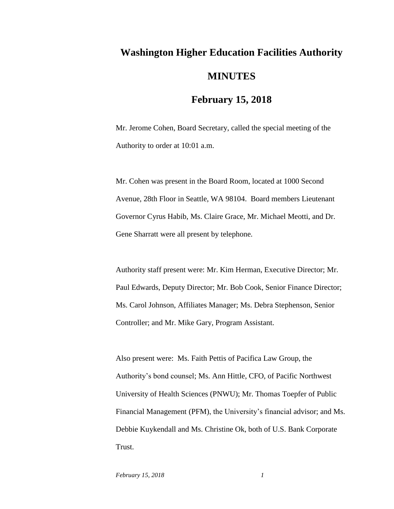## **Washington Higher Education Facilities Authority MINUTES**

## **February 15, 2018**

Mr. Jerome Cohen, Board Secretary, called the special meeting of the Authority to order at 10:01 a.m.

Mr. Cohen was present in the Board Room, located at 1000 Second Avenue, 28th Floor in Seattle, WA 98104. Board members Lieutenant Governor Cyrus Habib, Ms. Claire Grace, Mr. Michael Meotti, and Dr. Gene Sharratt were all present by telephone.

Authority staff present were: Mr. Kim Herman, Executive Director; Mr. Paul Edwards, Deputy Director; Mr. Bob Cook, Senior Finance Director; Ms. Carol Johnson, Affiliates Manager; Ms. Debra Stephenson, Senior Controller; and Mr. Mike Gary, Program Assistant.

Also present were: Ms. Faith Pettis of Pacifica Law Group, the Authority's bond counsel; Ms. Ann Hittle, CFO, of Pacific Northwest University of Health Sciences (PNWU); Mr. Thomas Toepfer of Public Financial Management (PFM), the University's financial advisor; and Ms. Debbie Kuykendall and Ms. Christine Ok, both of U.S. Bank Corporate Trust.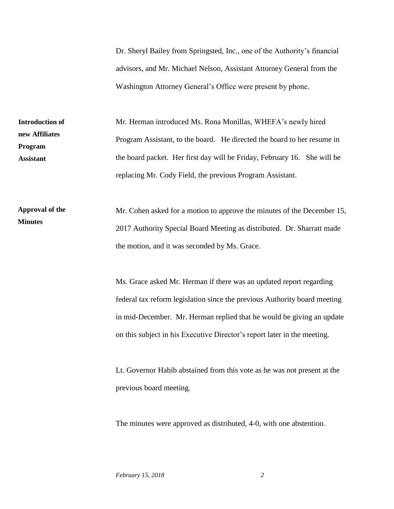Dr. Sheryl Bailey from Springsted, Inc., one of the Authority's financial advisors, and Mr. Michael Nelson, Assistant Attorney General from the Washington Attorney General's Office were present by phone.

**Introduction of new Affiliates Program Assistant**

Mr. Herman introduced Ms. Rona Monillas, WHEFA's newly hired Program Assistant, to the board. He directed the board to her resume in the board packet. Her first day will be Friday, February 16. She will be replacing Mr. Cody Field, the previous Program Assistant.

Mr. Cohen asked for a motion to approve the minutes of the December 15, 2017 Authority Special Board Meeting as distributed. Dr. Sharratt made the motion, and it was seconded by Ms. Grace. **Approval of the Minutes**

> Ms. Grace asked Mr. Herman if there was an updated report regarding federal tax reform legislation since the previous Authority board meeting in mid-December. Mr. Herman replied that he would be giving an update on this subject in his Executive Director's report later in the meeting.

Lt. Governor Habib abstained from this vote as he was not present at the previous board meeting.

The minutes were approved as distributed, 4-0, with one abstention.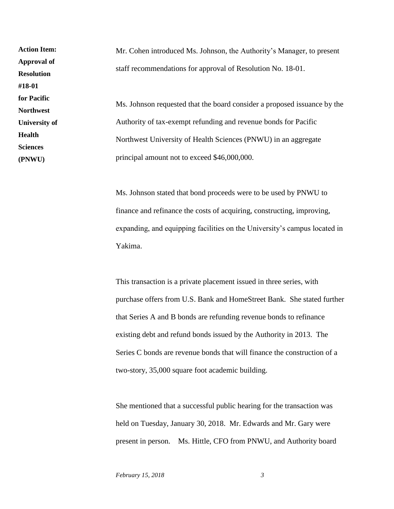Mr. Cohen introduced Ms. Johnson, the Authority's Manager, to present staff recommendations for approval of Resolution No. 18-01. Ms. Johnson requested that the board consider a proposed issuance by the Authority of tax-exempt refunding and revenue bonds for Pacific Northwest University of Health Sciences (PNWU) in an aggregate principal amount not to exceed \$46,000,000. **Action Item: Approval of Resolution #18-01 for Pacific Northwest University of Health Sciences (PNWU)**

> Ms. Johnson stated that bond proceeds were to be used by PNWU to finance and refinance the costs of acquiring, constructing, improving, expanding, and equipping facilities on the University's campus located in Yakima.

> This transaction is a private placement issued in three series, with purchase offers from U.S. Bank and HomeStreet Bank. She stated further that Series A and B bonds are refunding revenue bonds to refinance existing debt and refund bonds issued by the Authority in 2013. The Series C bonds are revenue bonds that will finance the construction of a two-story, 35,000 square foot academic building.

She mentioned that a successful public hearing for the transaction was held on Tuesday, January 30, 2018. Mr. Edwards and Mr. Gary were present in person. Ms. Hittle, CFO from PNWU, and Authority board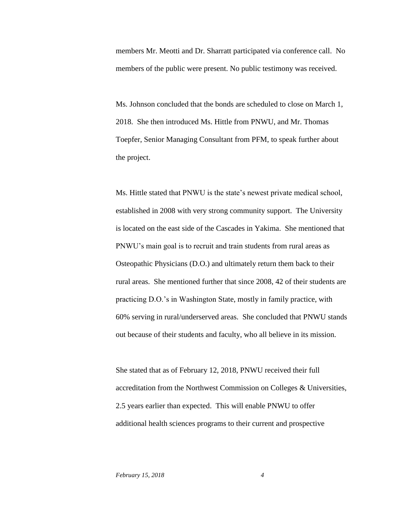members Mr. Meotti and Dr. Sharratt participated via conference call. No members of the public were present. No public testimony was received.

Ms. Johnson concluded that the bonds are scheduled to close on March 1, 2018. She then introduced Ms. Hittle from PNWU, and Mr. Thomas Toepfer, Senior Managing Consultant from PFM, to speak further about the project.

Ms. Hittle stated that PNWU is the state's newest private medical school, established in 2008 with very strong community support. The University is located on the east side of the Cascades in Yakima. She mentioned that PNWU's main goal is to recruit and train students from rural areas as Osteopathic Physicians (D.O.) and ultimately return them back to their rural areas. She mentioned further that since 2008, 42 of their students are practicing D.O.'s in Washington State, mostly in family practice, with 60% serving in rural/underserved areas. She concluded that PNWU stands out because of their students and faculty, who all believe in its mission.

She stated that as of February 12, 2018, PNWU received their full accreditation from the Northwest Commission on Colleges & Universities, 2.5 years earlier than expected. This will enable PNWU to offer additional health sciences programs to their current and prospective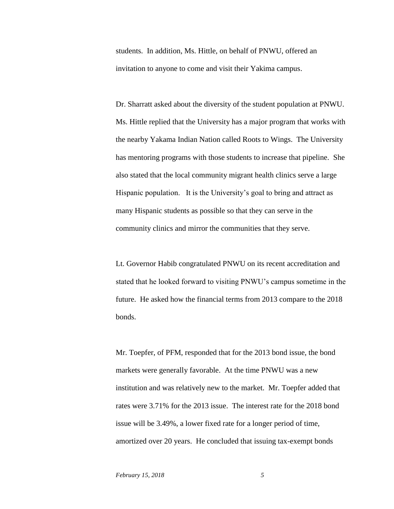students. In addition, Ms. Hittle, on behalf of PNWU, offered an invitation to anyone to come and visit their Yakima campus.

Dr. Sharratt asked about the diversity of the student population at PNWU. Ms. Hittle replied that the University has a major program that works with the nearby Yakama Indian Nation called Roots to Wings. The University has mentoring programs with those students to increase that pipeline. She also stated that the local community migrant health clinics serve a large Hispanic population. It is the University's goal to bring and attract as many Hispanic students as possible so that they can serve in the community clinics and mirror the communities that they serve.

Lt. Governor Habib congratulated PNWU on its recent accreditation and stated that he looked forward to visiting PNWU's campus sometime in the future. He asked how the financial terms from 2013 compare to the 2018 bonds.

Mr. Toepfer, of PFM, responded that for the 2013 bond issue, the bond markets were generally favorable. At the time PNWU was a new institution and was relatively new to the market. Mr. Toepfer added that rates were 3.71% for the 2013 issue. The interest rate for the 2018 bond issue will be 3.49%, a lower fixed rate for a longer period of time, amortized over 20 years. He concluded that issuing tax-exempt bonds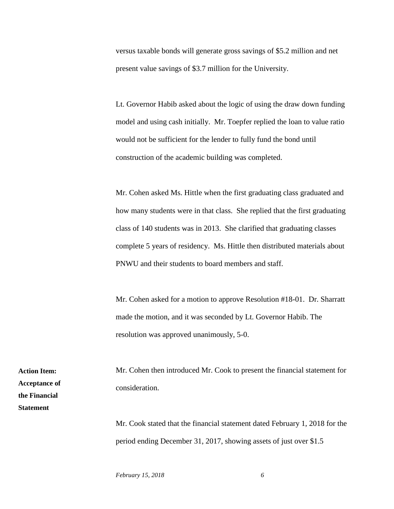versus taxable bonds will generate gross savings of \$5.2 million and net present value savings of \$3.7 million for the University.

Lt. Governor Habib asked about the logic of using the draw down funding model and using cash initially. Mr. Toepfer replied the loan to value ratio would not be sufficient for the lender to fully fund the bond until construction of the academic building was completed.

Mr. Cohen asked Ms. Hittle when the first graduating class graduated and how many students were in that class. She replied that the first graduating class of 140 students was in 2013. She clarified that graduating classes complete 5 years of residency. Ms. Hittle then distributed materials about PNWU and their students to board members and staff.

Mr. Cohen asked for a motion to approve Resolution #18-01. Dr. Sharratt made the motion, and it was seconded by Lt. Governor Habib. The resolution was approved unanimously, 5-0.

Mr. Cohen then introduced Mr. Cook to present the financial statement for consideration.

Mr. Cook stated that the financial statement dated February 1, 2018 for the period ending December 31, 2017, showing assets of just over \$1.5

*February 15, 2018 6*

**Action Item: Acceptance of the Financial Statement**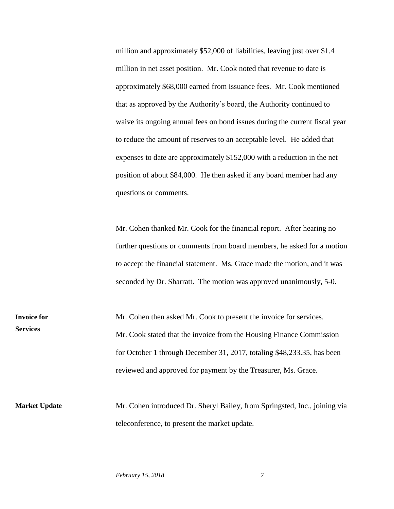million and approximately \$52,000 of liabilities, leaving just over \$1.4 million in net asset position. Mr. Cook noted that revenue to date is approximately \$68,000 earned from issuance fees. Mr. Cook mentioned that as approved by the Authority's board, the Authority continued to waive its ongoing annual fees on bond issues during the current fiscal year to reduce the amount of reserves to an acceptable level. He added that expenses to date are approximately \$152,000 with a reduction in the net position of about \$84,000. He then asked if any board member had any questions or comments.

Mr. Cohen thanked Mr. Cook for the financial report. After hearing no further questions or comments from board members, he asked for a motion to accept the financial statement. Ms. Grace made the motion, and it was seconded by Dr. Sharratt. The motion was approved unanimously, 5-0.

Mr. Cohen then asked Mr. Cook to present the invoice for services. Mr. Cook stated that the invoice from the Housing Finance Commission for October 1 through December 31, 2017, totaling \$48,233.35, has been reviewed and approved for payment by the Treasurer, Ms. Grace. **Invoice for Services**

Mr. Cohen introduced Dr. Sheryl Bailey, from Springsted, Inc., joining via teleconference, to present the market update. **Market Update**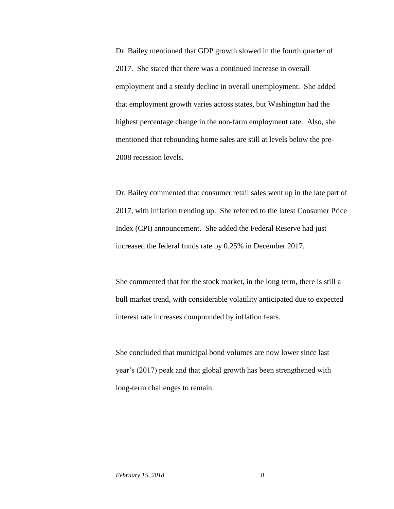Dr. Bailey mentioned that GDP growth slowed in the fourth quarter of 2017. She stated that there was a continued increase in overall employment and a steady decline in overall unemployment. She added that employment growth varies across states, but Washington had the highest percentage change in the non-farm employment rate. Also, she mentioned that rebounding home sales are still at levels below the pre-2008 recession levels.

Dr. Bailey commented that consumer retail sales went up in the late part of 2017, with inflation trending up. She referred to the latest Consumer Price Index (CPI) announcement. She added the Federal Reserve had just increased the federal funds rate by 0.25% in December 2017.

She commented that for the stock market, in the long term, there is still a bull market trend, with considerable volatility anticipated due to expected interest rate increases compounded by inflation fears.

She concluded that municipal bond volumes are now lower since last year's (2017) peak and that global growth has been strengthened with long-term challenges to remain.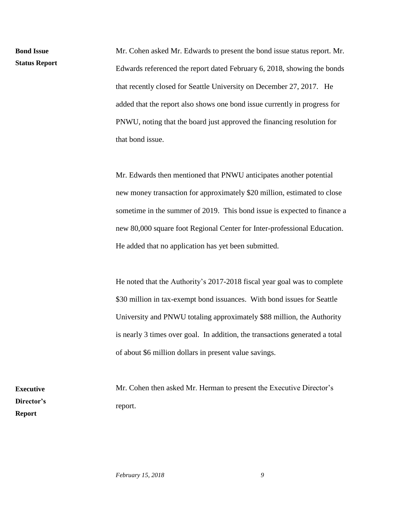**Bond Issue Status Report** Mr. Cohen asked Mr. Edwards to present the bond issue status report. Mr. Edwards referenced the report dated February 6, 2018, showing the bonds that recently closed for Seattle University on December 27, 2017. He added that the report also shows one bond issue currently in progress for PNWU, noting that the board just approved the financing resolution for that bond issue.

Mr. Edwards then mentioned that PNWU anticipates another potential new money transaction for approximately \$20 million, estimated to close sometime in the summer of 2019. This bond issue is expected to finance a new 80,000 square foot Regional Center for Inter-professional Education. He added that no application has yet been submitted.

He noted that the Authority's 2017-2018 fiscal year goal was to complete \$30 million in tax-exempt bond issuances. With bond issues for Seattle University and PNWU totaling approximately \$88 million, the Authority is nearly 3 times over goal. In addition, the transactions generated a total of about \$6 million dollars in present value savings.

Mr. Cohen then asked Mr. Herman to present the Executive Director's report.

**Executive Director's Report**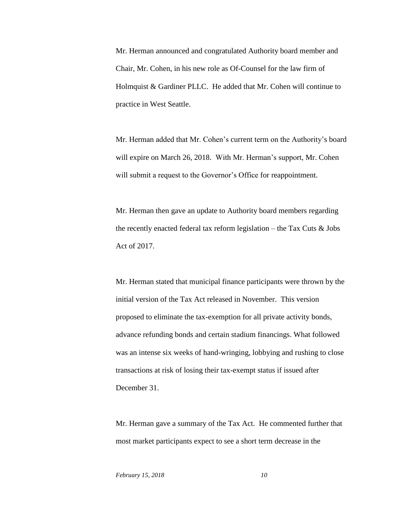Mr. Herman announced and congratulated Authority board member and Chair, Mr. Cohen, in his new role as Of-Counsel for the law firm of Holmquist & Gardiner PLLC. He added that Mr. Cohen will continue to practice in West Seattle.

Mr. Herman added that Mr. Cohen's current term on the Authority's board will expire on March 26, 2018. With Mr. Herman's support, Mr. Cohen will submit a request to the Governor's Office for reappointment.

Mr. Herman then gave an update to Authority board members regarding the recently enacted federal tax reform legislation – the Tax Cuts  $\&$  Jobs Act of 2017.

Mr. Herman stated that municipal finance participants were thrown by the initial version of the Tax Act released in November. This version proposed to eliminate the tax-exemption for all private activity bonds, advance refunding bonds and certain stadium financings. What followed was an intense six weeks of hand-wringing, lobbying and rushing to close transactions at risk of losing their tax-exempt status if issued after December 31.

Mr. Herman gave a summary of the Tax Act. He commented further that most market participants expect to see a short term decrease in the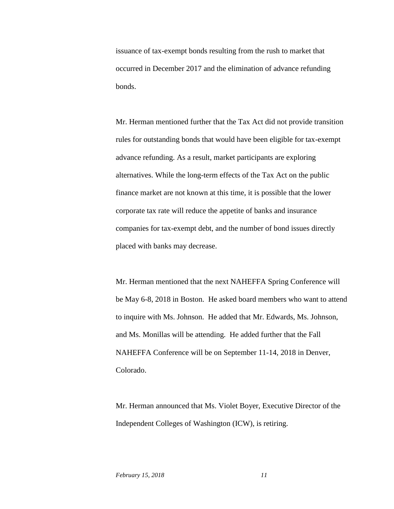issuance of tax-exempt bonds resulting from the rush to market that occurred in December 2017 and the elimination of advance refunding bonds.

Mr. Herman mentioned further that the Tax Act did not provide transition rules for outstanding bonds that would have been eligible for tax-exempt advance refunding. As a result, market participants are exploring alternatives. While the long-term effects of the Tax Act on the public finance market are not known at this time, it is possible that the lower corporate tax rate will reduce the appetite of banks and insurance companies for tax-exempt debt, and the number of bond issues directly placed with banks may decrease.

Mr. Herman mentioned that the next NAHEFFA Spring Conference will be May 6-8, 2018 in Boston. He asked board members who want to attend to inquire with Ms. Johnson. He added that Mr. Edwards, Ms. Johnson, and Ms. Monillas will be attending. He added further that the Fall NAHEFFA Conference will be on September 11-14, 2018 in Denver, Colorado.

Mr. Herman announced that Ms. Violet Boyer, Executive Director of the Independent Colleges of Washington (ICW), is retiring.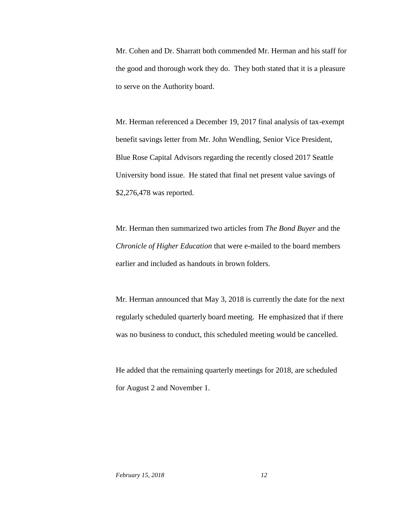Mr. Cohen and Dr. Sharratt both commended Mr. Herman and his staff for the good and thorough work they do. They both stated that it is a pleasure to serve on the Authority board.

Mr. Herman referenced a December 19, 2017 final analysis of tax-exempt benefit savings letter from Mr. John Wendling, Senior Vice President, Blue Rose Capital Advisors regarding the recently closed 2017 Seattle University bond issue. He stated that final net present value savings of \$2,276,478 was reported.

Mr. Herman then summarized two articles from *The Bond Buyer* and the *Chronicle of Higher Education* that were e-mailed to the board members earlier and included as handouts in brown folders.

Mr. Herman announced that May 3, 2018 is currently the date for the next regularly scheduled quarterly board meeting. He emphasized that if there was no business to conduct, this scheduled meeting would be cancelled.

He added that the remaining quarterly meetings for 2018, are scheduled for August 2 and November 1.